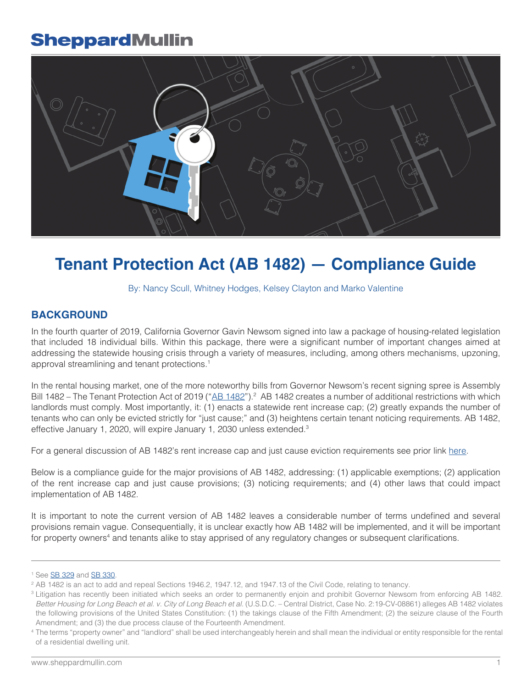

# **Tenant Protection Act (AB 1482) — Compliance Guide**

### By: [Nancy Scull](https://www.sheppardmullin.com/nscull), [Whitney Hodges,](https://www.sheppardmullin.com/whodges) [Kelsey Clayton](https://www.sheppardmullin.com/kclayton) and [Marko Valentine](https://www.sheppardmullin.com/mvalentine)

### **BACKGROUND**

In the fourth quarter of 2019, California Governor Gavin Newsom signed into law a package of housing-related legislation that included 18 individual bills. Within this package, there were a significant number of important changes aimed at addressing the statewide housing crisis through a variety of measures, including, among others mechanisms, upzoning, approval streamlining and tenant protections.1

In the rental housing market, one of the more noteworthy bills from Governor Newsom's recent signing spree is Assembly Bill 1482 – The Tenant Protection Act of 2019 ("AB [1482"](http://leginfo.legislature.ca.gov/faces/billNavClient.xhtml?bill_id=201920200AB1482)).<sup>2</sup> AB 1482 creates a number of additional restrictions with which landlords must comply. Most importantly, it: (1) enacts a statewide rent increase cap; (2) greatly expands the number of tenants who can only be evicted strictly for "just cause;" and (3) heightens certain tenant noticing requirements. AB 1482, effective January 1, 2020, will expire January 1, 2030 unless extended.<sup>3</sup>

For a general discussion of AB 1482's rent increase cap and just cause eviction requirements see prior link [here.](https://www.realestatelanduseandenvironmentallaw.com/statewide-residential-rent-control-california.html)

Below is a compliance guide for the major provisions of AB 1482, addressing: (1) applicable exemptions; (2) application of the rent increase cap and just cause provisions; (3) noticing requirements; and (4) other laws that could impact implementation of AB 1482.

It is important to note the current version of AB 1482 leaves a considerable number of terms undefined and several provisions remain vague. Consequentially, it is unclear exactly how AB 1482 will be implemented, and it will be important for property owners<sup>4</sup> and tenants alike to stay apprised of any regulatory changes or subsequent clarifications.

<sup>&</sup>lt;sup>1</sup> See **SB 329** and **[SB 330](https://www.realestatelanduseandenvironmentallaw.com/sb-330-housing-crisis-act.html)**.

<sup>2</sup> AB 1482 is an act to add and repeal Sections 1946.2, 1947.12, and 1947.13 of the Civil Code, relating to tenancy.

<sup>3</sup> Litigation has recently been initiated which seeks an order to permanently enjoin and prohibit Governor Newsom from enforcing AB 1482. *Better Housing for Long Beach et al. v. City of Long Beach et al.* (U.S.D.C. – Central District, Case No. 2:19-CV-08861) alleges AB 1482 violates the following provisions of the United States Constitution: (1) the takings clause of the Fifth Amendment; (2) the seizure clause of the Fourth Amendment; and (3) the due process clause of the Fourteenth Amendment.

<sup>4</sup> The terms "property owner" and "landlord" shall be used interchangeably herein and shall mean the individual or entity responsible for the rental of a residential dwelling unit.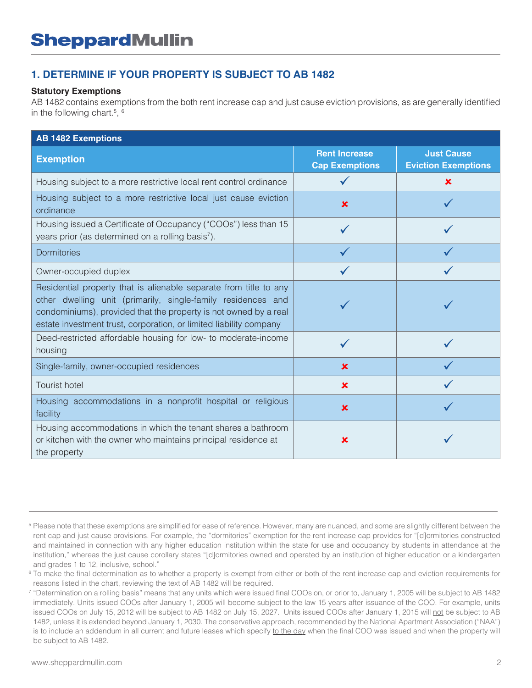## **1. DETERMINE IF YOUR PROPERTY IS SUBJECT TO AB 1482**

### **Statutory Exemptions**

AB 1482 contains exemptions from the both rent increase cap and just cause eviction provisions, as are generally identified in the following chart.<sup>5</sup>, <sup>6</sup>

| <b>AB 1482 Exemptions</b>                                                                                                                                                                                                                                                   |                                               |                                                 |
|-----------------------------------------------------------------------------------------------------------------------------------------------------------------------------------------------------------------------------------------------------------------------------|-----------------------------------------------|-------------------------------------------------|
| <b>Exemption</b>                                                                                                                                                                                                                                                            | <b>Rent Increase</b><br><b>Cap Exemptions</b> | <b>Just Cause</b><br><b>Eviction Exemptions</b> |
| Housing subject to a more restrictive local rent control ordinance                                                                                                                                                                                                          |                                               | $\mathbf x$                                     |
| Housing subject to a more restrictive local just cause eviction<br>ordinance                                                                                                                                                                                                | $\mathbf x$                                   |                                                 |
| Housing issued a Certificate of Occupancy ("COOs") less than 15<br>years prior (as determined on a rolling basis <sup>7</sup> ).                                                                                                                                            |                                               |                                                 |
| <b>Dormitories</b>                                                                                                                                                                                                                                                          |                                               |                                                 |
| Owner-occupied duplex                                                                                                                                                                                                                                                       |                                               |                                                 |
| Residential property that is alienable separate from title to any<br>other dwelling unit (primarily, single-family residences and<br>condominiums), provided that the property is not owned by a real<br>estate investment trust, corporation, or limited liability company |                                               |                                                 |
| Deed-restricted affordable housing for low- to moderate-income<br>housing                                                                                                                                                                                                   | $\checkmark$                                  |                                                 |
| Single-family, owner-occupied residences                                                                                                                                                                                                                                    | $\mathbf x$                                   |                                                 |
| <b>Tourist hotel</b>                                                                                                                                                                                                                                                        | $\mathbf x$                                   |                                                 |
| Housing accommodations in a nonprofit hospital or religious<br>facility                                                                                                                                                                                                     | $\pmb{\times}$                                |                                                 |
| Housing accommodations in which the tenant shares a bathroom<br>or kitchen with the owner who maintains principal residence at<br>the property                                                                                                                              | x                                             |                                                 |

<sup>&</sup>lt;sup>5</sup> Please note that these exemptions are simplified for ease of reference. However, many are nuanced, and some are slightly different between the rent cap and just cause provisions. For example, the "dormitories" exemption for the rent increase cap provides for "[d]ormitories constructed and maintained in connection with any higher education institution within the state for use and occupancy by students in attendance at the institution," whereas the just cause corollary states "[d]ormitories owned and operated by an institution of higher education or a kindergarten and grades 1 to 12, inclusive, school."

<sup>&</sup>lt;sup>6</sup> To make the final determination as to whether a property is exempt from either or both of the rent increase cap and eviction requirements for reasons listed in the chart, reviewing the text of AB 1482 will be required.

<sup>7</sup> "Determination on a rolling basis" means that any units which were issued final COOs on, or prior to, January 1, 2005 will be subject to AB 1482 immediately. Units issued COOs after January 1, 2005 will become subject to the law 15 years after issuance of the COO. For example, units issued COOs on July 15, 2012 will be subject to AB 1482 on July 15, 2027. Units issued COOs after January 1, 2015 will not be subject to AB 1482, unless it is extended beyond January 1, 2030. The conservative approach, recommended by the National Apartment Association ("NAA") is to include an addendum in all current and future leases which specify to the day when the final COO was issued and when the property will be subject to AB 1482.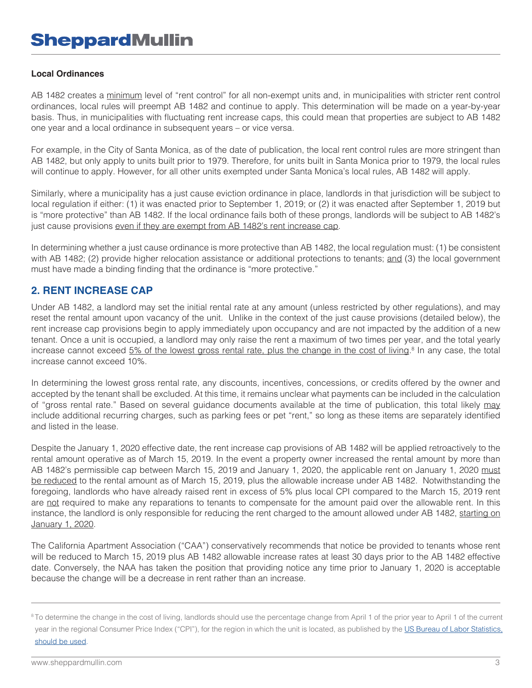### **Local Ordinances**

AB 1482 creates a minimum level of "rent control" for all non-exempt units and, in municipalities with stricter rent control ordinances, local rules will preempt AB 1482 and continue to apply. This determination will be made on a year-by-year basis. Thus, in municipalities with fluctuating rent increase caps, this could mean that properties are subject to AB 1482 one year and a local ordinance in subsequent years – or vice versa.

For example, in the City of Santa Monica, as of the date of publication, the local rent control rules are more stringent than AB 1482, but only apply to units built prior to 1979. Therefore, for units built in Santa Monica prior to 1979, the local rules will continue to apply. However, for all other units exempted under Santa Monica's local rules, AB 1482 will apply.

Similarly, where a municipality has a just cause eviction ordinance in place, landlords in that jurisdiction will be subject to local regulation if either: (1) it was enacted prior to September 1, 2019; or (2) it was enacted after September 1, 2019 but is "more protective" than AB 1482. If the local ordinance fails both of these prongs, landlords will be subject to AB 1482's just cause provisions even if they are exempt from AB 1482's rent increase cap.

In determining whether a just cause ordinance is more protective than AB 1482, the local regulation must: (1) be consistent with AB 1482; (2) provide higher relocation assistance or additional protections to tenants; and (3) the local government must have made a binding finding that the ordinance is "more protective."

### **2. RENT INCREASE CAP**

Under AB 1482, a landlord may set the initial rental rate at any amount (unless restricted by other regulations), and may reset the rental amount upon vacancy of the unit. Unlike in the context of the just cause provisions (detailed below), the rent increase cap provisions begin to apply immediately upon occupancy and are not impacted by the addition of a new tenant. Once a unit is occupied, a landlord may only raise the rent a maximum of two times per year, and the total yearly increase cannot exceed 5% of the lowest gross rental rate, plus the change in the cost of living.<sup>8</sup> In any case, the total increase cannot exceed 10%.

In determining the lowest gross rental rate, any discounts, incentives, concessions, or credits offered by the owner and accepted by the tenant shall be excluded. At this time, it remains unclear what payments can be included in the calculation of "gross rental rate." Based on several guidance documents available at the time of publication, this total likely may include additional recurring charges, such as parking fees or pet "rent," so long as these items are separately identified and listed in the lease.

Despite the January 1, 2020 effective date, the rent increase cap provisions of AB 1482 will be applied retroactively to the rental amount operative as of March 15, 2019. In the event a property owner increased the rental amount by more than AB 1482's permissible cap between March 15, 2019 and January 1, 2020, the applicable rent on January 1, 2020 must be reduced to the rental amount as of March 15, 2019, plus the allowable increase under AB 1482. Notwithstanding the foregoing, landlords who have already raised rent in excess of 5% plus local CPI compared to the March 15, 2019 rent are not required to make any reparations to tenants to compensate for the amount paid over the allowable rent. In this instance, the landlord is only responsible for reducing the rent charged to the amount allowed under AB 1482, starting on January 1, 2020.

The California Apartment Association ("CAA") conservatively recommends that notice be provided to tenants whose rent will be reduced to March 15, 2019 plus AB 1482 allowable increase rates at least 30 days prior to the AB 1482 effective date. Conversely, the NAA has taken the position that providing notice any time prior to January 1, 2020 is acceptable because the change will be a decrease in rent rather than an increase.

<sup>&</sup>lt;sup>8</sup> To determine the change in the cost of living, landlords should use the percentage change from April 1 of the prior year to April 1 of the current

year in the regional Consumer Price Index ("CPI"), for the region in which the unit is located, as published by the US Bureau of Labor Statistics. should be used.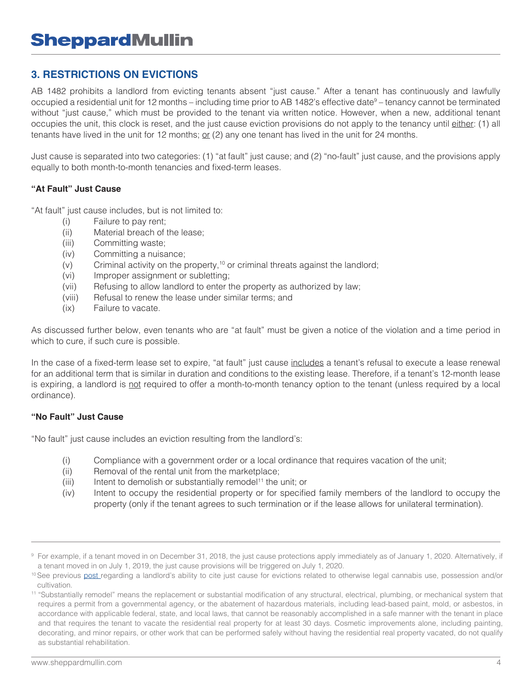### **3. RESTRICTIONS ON EVICTIONS**

AB 1482 prohibits a landlord from evicting tenants absent "just cause." After a tenant has continuously and lawfully occupied a residential unit for 12 months – including time prior to AB 1482's effective date<sup>9</sup> – tenancy cannot be terminated without "just cause," which must be provided to the tenant via written notice. However, when a new, additional tenant occupies the unit, this clock is reset, and the just cause eviction provisions do not apply to the tenancy until either: (1) all tenants have lived in the unit for 12 months; or (2) any one tenant has lived in the unit for 24 months.

Just cause is separated into two categories: (1) "at fault" just cause; and (2) "no-fault" just cause, and the provisions apply equally to both month-to-month tenancies and fixed-term leases.

### **"At Fault" Just Cause**

"At fault" just cause includes, but is not limited to:

- (i) Failure to pay rent;
- (ii) Material breach of the lease;
- (iii) Committing waste;
- (iv) Committing a nuisance;
- $(v)$  Criminal activity on the property,<sup>10</sup> or criminal threats against the landlord;
- (vi) Improper assignment or subletting;
- (vii) Refusing to allow landlord to enter the property as authorized by law;
- (viii) Refusal to renew the lease under similar terms; and
- (ix) Failure to vacate.

As discussed further below, even tenants who are "at fault" must be given a notice of the violation and a time period in which to cure, if such cure is possible.

In the case of a fixed-term lease set to expire, "at fault" just cause includes a tenant's refusal to execute a lease renewal for an additional term that is similar in duration and conditions to the existing lease. Therefore, if a tenant's 12-month lease is expiring, a landlord is not required to offer a month-to-month tenancy option to the tenant (unless required by a local ordinance).

### **"No Fault" Just Cause**

"No fault" just cause includes an eviction resulting from the landlord's:

- (i) Compliance with a government order or a local ordinance that requires vacation of the unit;
- (ii) Removal of the rental unit from the marketplace;
- (iii) Intent to demolish or substantially remodel<sup>11</sup> the unit; or
- (iv) Intent to occupy the residential property or for specified family members of the landlord to occupy the property (only if the tenant agrees to such termination or if the lease allows for unilateral termination).

<sup>9</sup> For example, if a tenant moved in on December 31, 2018, the just cause protections apply immediately as of January 1, 2020. Alternatively, if a tenant moved in on July 1, 2019, the just cause provisions will be triggered on July 1, 2020.

<sup>&</sup>lt;sup>10</sup> See previous [post](https://www.cannabislawblog.com/2019/12/tenant-protection-act-2019/) regarding a landlord's ability to cite just cause for evictions related to otherwise legal cannabis use, possession and/or cultivation.

<sup>11</sup> "Substantially remodel" means the replacement or substantial modification of any structural, electrical, plumbing, or mechanical system that requires a permit from a governmental agency, or the abatement of hazardous materials, including lead-based paint, mold, or asbestos, in accordance with applicable federal, state, and local laws, that cannot be reasonably accomplished in a safe manner with the tenant in place and that requires the tenant to vacate the residential real property for at least 30 days. Cosmetic improvements alone, including painting, decorating, and minor repairs, or other work that can be performed safely without having the residential real property vacated, do not qualify as substantial rehabilitation.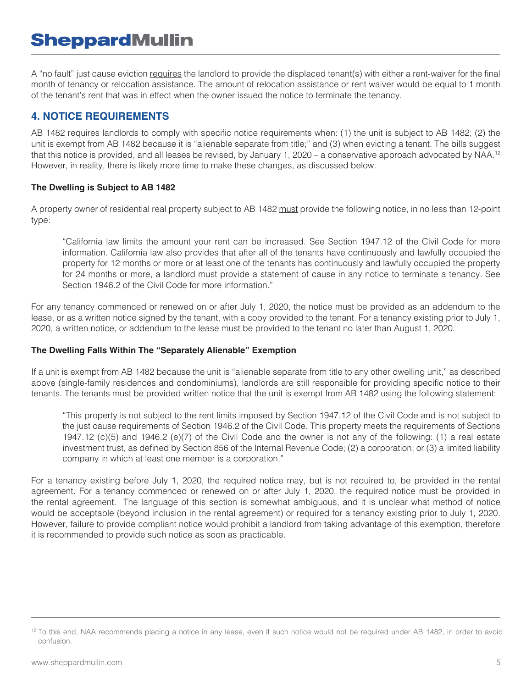A "no fault" just cause eviction requires the landlord to provide the displaced tenant(s) with either a rent-waiver for the final month of tenancy or relocation assistance. The amount of relocation assistance or rent waiver would be equal to 1 month of the tenant's rent that was in effect when the owner issued the notice to terminate the tenancy.

### **4. NOTICE REQUIREMENTS**

AB 1482 requires landlords to comply with specific notice requirements when: (1) the unit is subject to AB 1482; (2) the unit is exempt from AB 1482 because it is "alienable separate from title;" and (3) when evicting a tenant. The bills suggest that this notice is provided, and all leases be revised, by January 1, 2020 – a conservative approach advocated by NAA.<sup>12</sup> However, in reality, there is likely more time to make these changes, as discussed below.

### **The Dwelling is Subject to AB 1482**

A property owner of residential real property subject to AB 1482 must provide the following notice, in no less than 12-point type:

 "California law limits the amount your rent can be increased. See Section 1947.12 of the Civil Code for more information. California law also provides that after all of the tenants have continuously and lawfully occupied the property for 12 months or more or at least one of the tenants has continuously and lawfully occupied the property for 24 months or more, a landlord must provide a statement of cause in any notice to terminate a tenancy. See Section 1946.2 of the Civil Code for more information."

For any tenancy commenced or renewed on or after July 1, 2020, the notice must be provided as an addendum to the lease, or as a written notice signed by the tenant, with a copy provided to the tenant. For a tenancy existing prior to July 1, 2020, a written notice, or addendum to the lease must be provided to the tenant no later than August 1, 2020.

### **The Dwelling Falls Within The "Separately Alienable" Exemption**

If a unit is exempt from AB 1482 because the unit is "alienable separate from title to any other dwelling unit," as described above (single-family residences and condominiums), landlords are still responsible for providing specific notice to their tenants. The tenants must be provided written notice that the unit is exempt from AB 1482 using the following statement:

 "This property is not subject to the rent limits imposed by Section 1947.12 of the Civil Code and is not subject to the just cause requirements of Section 1946.2 of the Civil Code. This property meets the requirements of Sections 1947.12 (c)(5) and 1946.2 (e)(7) of the Civil Code and the owner is not any of the following: (1) a real estate investment trust, as defined by Section 856 of the Internal Revenue Code; (2) a corporation; or (3) a limited liability company in which at least one member is a corporation."

For a tenancy existing before July 1, 2020, the required notice may, but is not required to, be provided in the rental agreement. For a tenancy commenced or renewed on or after July 1, 2020, the required notice must be provided in the rental agreement. The language of this section is somewhat ambiguous, and it is unclear what method of notice would be acceptable (beyond inclusion in the rental agreement) or required for a tenancy existing prior to July 1, 2020. However, failure to provide compliant notice would prohibit a landlord from taking advantage of this exemption, therefore it is recommended to provide such notice as soon as practicable.

<sup>&</sup>lt;sup>12</sup> To this end, NAA recommends placing a notice in any lease, even if such notice would not be required under AB 1482, in order to avoid confusion.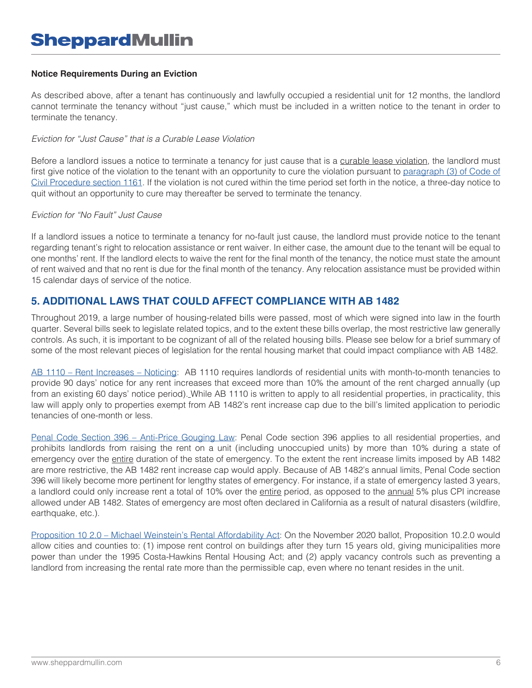### **Notice Requirements During an Eviction**

As described above, after a tenant has continuously and lawfully occupied a residential unit for 12 months, the landlord cannot terminate the tenancy without "just cause," which must be included in a written notice to the tenant in order to terminate the tenancy.

### *Eviction for "Just Cause" that is a Curable Lease Violation*

Before a landlord issues a notice to terminate a tenancy for just cause that is a curable lease violation, the landlord must first give notice of the violation to the tenant with an opportunity to cure the violation pursuant to [paragraph \(3\) of Code of](https://leginfo.legislature.ca.gov/faces/codes_displaySection.xhtml?lawCode=CCP§ionNum=1161) [Civil Procedure section 1161.](https://leginfo.legislature.ca.gov/faces/codes_displaySection.xhtml?lawCode=CCP§ionNum=1161) If the violation is not cured within the time period set forth in the notice, a three-day notice to quit without an opportunity to cure may thereafter be served to terminate the tenancy.

#### *Eviction for "No Fault" Just Cause*

If a landlord issues a notice to terminate a tenancy for no-fault just cause, the landlord must provide notice to the tenant regarding tenant's right to relocation assistance or rent waiver. In either case, the amount due to the tenant will be equal to one months' rent. If the landlord elects to waive the rent for the final month of the tenancy, the notice must state the amount of rent waived and that no rent is due for the final month of the tenancy. Any relocation assistance must be provided within 15 calendar days of service of the notice.

### **5. ADDITIONAL LAWS THAT COULD AFFECT COMPLIANCE WITH AB 1482**

Throughout 2019, a large number of housing-related bills were passed, most of which were signed into law in the fourth quarter. Several bills seek to legislate related topics, and to the extent these bills overlap, the most restrictive law generally controls. As such, it is important to be cognizant of all of the related housing bills. Please see below for a brief summary of some of the most relevant pieces of legislation for the rental housing market that could impact compliance with AB 1482.

[AB 1110 – Rent Increases – Noticing](http://leginfo.legislature.ca.gov/faces/billNavClient.xhtml?bill_id=201920200AB1110): AB 1110 requires landlords of residential units with month-to-month tenancies to provide 90 days' notice for any rent increases that exceed more than 10% the amount of the rent charged annually (up from an existing 60 days' notice period). While AB 1110 is written to apply to all residential properties, in practicality, this law will apply only to properties exempt from AB 1482's rent increase cap due to the bill's limited application to periodic tenancies of one-month or less.

Penal Code Section 396 – Anti-Price Gouging Law: Penal Code section 396 applies to all residential properties, and prohibits landlords from raising the rent on a unit (including unoccupied units) by more than 10% during a state of emergency over the entire duration of the state of emergency. To the extent the rent increase limits imposed by AB 1482 are more restrictive, the AB 1482 rent increase cap would apply. Because of AB 1482's annual limits, Penal Code section 396 will likely become more pertinent for lengthy states of emergency. For instance, if a state of emergency lasted 3 years, a landlord could only increase rent a total of 10% over the entire period, as opposed to the annual 5% plus CPI increase allowed under AB 1482. States of emergency are most often declared in California as a result of natural disasters (wildfire, earthquake, etc.).

[Proposition 10 2.0 – Michael Weinstein's Rental Affordability Act](https://caanet.org/legislative-analysts-office-predicts-prop-10-2-0-would-drive-units-from-market/): On the November 2020 ballot, Proposition 10.2.0 would allow cities and counties to: (1) impose rent control on buildings after they turn 15 years old, giving municipalities more power than under the 1995 Costa-Hawkins Rental Housing Act; and (2) apply vacancy controls such as preventing a landlord from increasing the rental rate more than the permissible cap, even where no tenant resides in the unit.